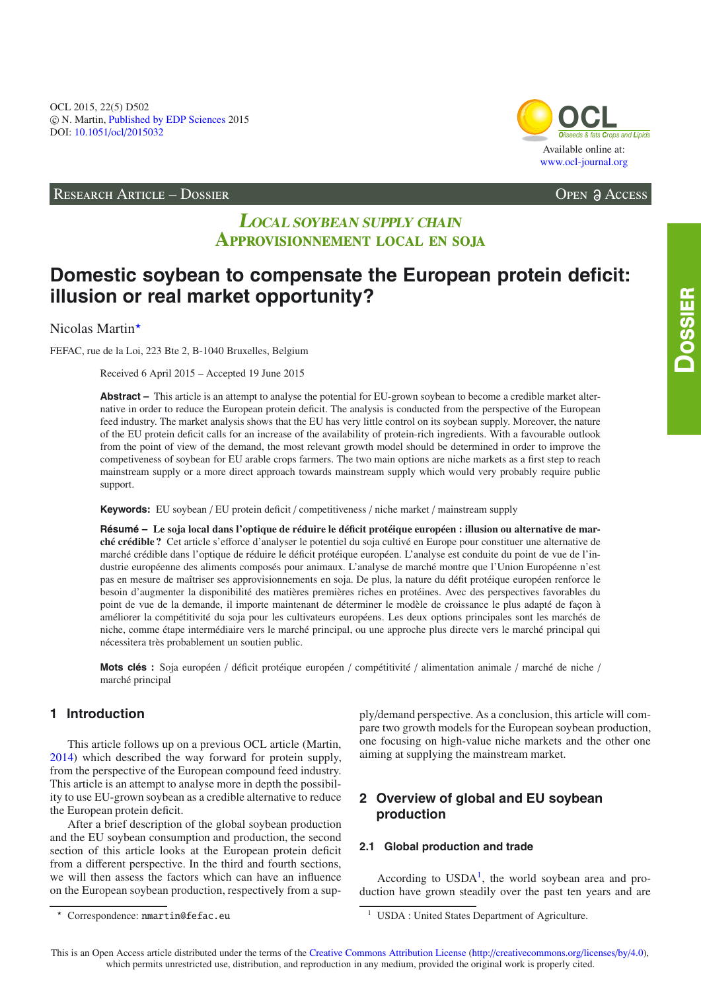OCL 2015, 22(5) D502 -c N. Martin, [Published by EDP Sciences](http://www.edpsciences.org) 2015 DOI: 10.1051/ocl/[2015032](http://dx.doi.org/10.1051/ocl/2015032)

RESEARCH ARTICLE – DOSSIER Open Access

# **LOCAL SOYBEAN SUPPLY CHAIN A**pprovisionnement local en soja

# **Domestic soybean to compensate the European protein deficit: illusion or real market opportunity?**

Nicolas Martin<sup>\*</sup>

FEFAC, rue de la Loi, 223 Bte 2, B-1040 Bruxelles, Belgium

Received 6 April 2015 – Accepted 19 June 2015

**Abstract –** This article is an attempt to analyse the potential for EU-grown soybean to become a credible market alternative in order to reduce the European protein deficit. The analysis is conducted from the perspective of the European feed industry. The market analysis shows that the EU has very little control on its soybean supply. Moreover, the nature of the EU protein deficit calls for an increase of the availability of protein-rich ingredients. With a favourable outlook from the point of view of the demand, the most relevant growth model should be determined in order to improve the competiveness of soybean for EU arable crops farmers. The two main options are niche markets as a first step to reach mainstream supply or a more direct approach towards mainstream supply which would very probably require public support.

**Keywords:** EU soybean / EU protein deficit / competitiveness / niche market / mainstream supply

**Résumé – Le soja local dans l'optique de réduire le déficit protéique européen : illusion ou alternative de marché crédible ?** Cet article s'efforce d'analyser le potentiel du soja cultivé en Europe pour constituer une alternative de marché crédible dans l'optique de réduire le déficit protéique européen. L'analyse est conduite du point de vue de l'industrie européenne des aliments composés pour animaux. L'analyse de marché montre que l'Union Européenne n'est pas en mesure de maîtriser ses approvisionnements en soja. De plus, la nature du défit protéique européen renforce le besoin d'augmenter la disponibilité des matières premières riches en protéines. Avec des perspectives favorables du point de vue de la demande, il importe maintenant de déterminer le modèle de croissance le plus adapté de façon à améliorer la compétitivité du soja pour les cultivateurs européens. Les deux options principales sont les marchés de niche, comme étape intermédiaire vers le marché principal, ou une approche plus directe vers le marché principal qui nécessitera très probablement un soutien public.

**Mots clés :** Soja européen / déficit protéique européen / compétitivité / alimentation animale / marché de niche / marché principal

# **1 Introduction**

This article follows up on a previous OCL article (Martin, [2014\)](#page-8-0) which described the way forward for protein supply, from the perspective of the European compound feed industry. This article is an attempt to analyse more in depth the possibility to use EU-grown soybean as a credible alternative to reduce the European protein deficit.

After a brief description of the global soybean production and the EU soybean consumption and production, the second section of this article looks at the European protein deficit from a different perspective. In the third and fourth sections, we will then assess the factors which can have an influence on the European soybean production, respectively from a sup<span id="page-0-0"></span>ply/demand perspective. As a conclusion, this article will compare two growth models for the European soybean production, one focusing on high-value niche markets and the other one aiming at supplying the mainstream market.

# **2 Overview of global and EU soybean production**

# **2.1 Global production and trade**

According to  $USDA<sup>1</sup>$  $USDA<sup>1</sup>$  $USDA<sup>1</sup>$ , the world soybean area and production have grown steadily over the past ten years and are



 $\star$ Correspondence: nmartin@fefac.eu

<sup>&</sup>lt;sup>1</sup> USDA : United States Department of Agriculture.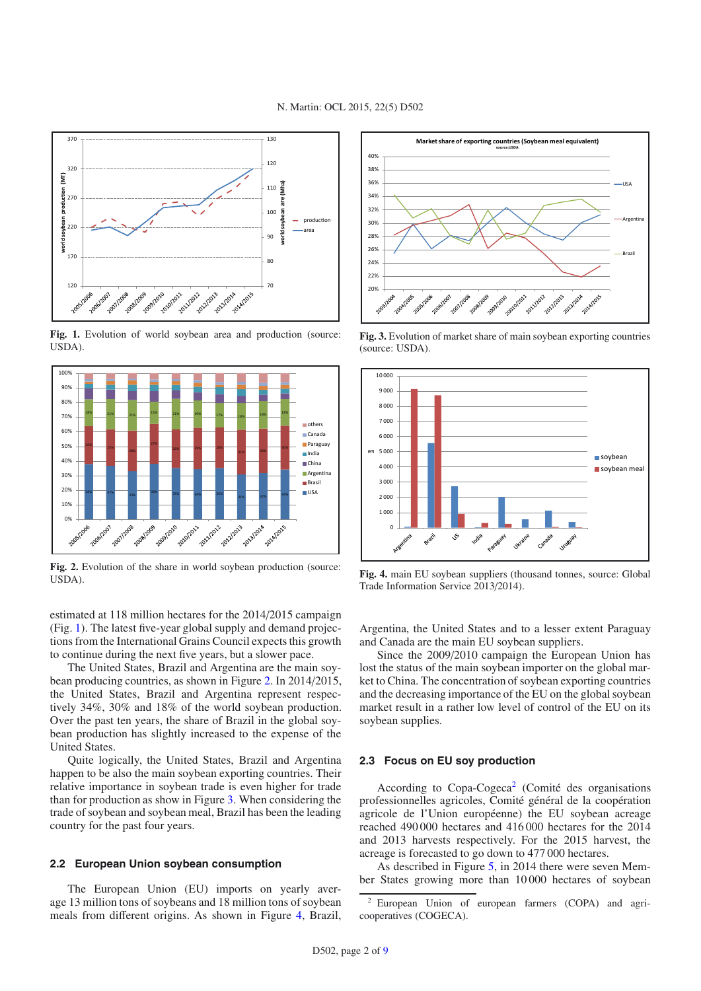<span id="page-1-0"></span>

**Fig. 1.** Evolution of world soybean area and production (source: USDA).

<span id="page-1-1"></span>

**Fig. 2.** Evolution of the share in world soybean production (source: USDA).

estimated at 118 million hectares for the 2014/2015 campaign (Fig. [1\)](#page-1-0). The latest five-year global supply and demand projections from the International Grains Council expects this growth to continue during the next five years, but a slower pace.

The United States, Brazil and Argentina are the main soybean producing countries, as shown in Figure [2.](#page-1-1) In 2014/2015, the United States, Brazil and Argentina represent respectively 34%, 30% and 18% of the world soybean production. Over the past ten years, the share of Brazil in the global soybean production has slightly increased to the expense of the United States.

Quite logically, the United States, Brazil and Argentina happen to be also the main soybean exporting countries. Their relative importance in soybean trade is even higher for trade than for production as show in Figure [3.](#page-1-2) When considering the trade of soybean and soybean meal, Brazil has been the leading country for the past four years.

## **2.2 European Union soybean consumption**

The European Union (EU) imports on yearly average 13 million tons of soybeans and 18 million tons of soybean meals from different origins. As shown in Figure [4,](#page-1-3) Brazil,

<span id="page-1-2"></span>

**Fig. 3.** Evolution of market share of main soybean exporting countries (source: USDA).

<span id="page-1-3"></span>

**Fig. 4.** main EU soybean suppliers (thousand tonnes, source: Global Trade Information Service 2013/2014).

Argentina, the United States and to a lesser extent Paraguay and Canada are the main EU soybean suppliers.

Since the 2009/2010 campaign the European Union has lost the status of the main soybean importer on the global market to China. The concentration of soybean exporting countries and the decreasing importance of the EU on the global soybean market result in a rather low level of control of the EU on its soybean supplies.

## <span id="page-1-4"></span>**2.3 Focus on EU soy production**

According to Copa-Cogeca<sup>[2](#page-1-4)</sup> (Comité des organisations professionnelles agricoles, Comité général de la coopération agricole de l'Union européenne) the EU soybean acreage reached 490 000 hectares and 416 000 hectares for the 2014 and 2013 harvests respectively. For the 2015 harvest, the acreage is forecasted to go down to 477 000 hectares.

As described in Figure [5,](#page-2-0) in 2014 there were seven Member States growing more than 10 000 hectares of soybean

<sup>2</sup> European Union of european farmers (COPA) and agricooperatives (COGECA).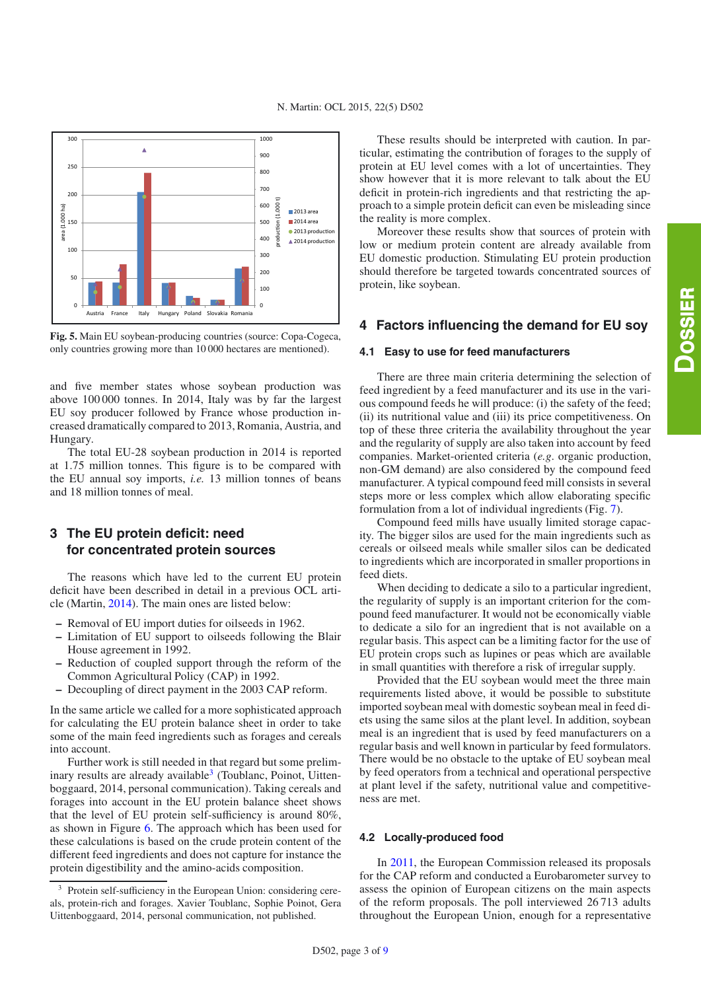<span id="page-2-0"></span>

**Fig. 5.** Main EU soybean-producing countries (source: Copa-Cogeca, only countries growing more than 10 000 hectares are mentioned).

and five member states whose soybean production was above 100 000 tonnes. In 2014, Italy was by far the largest EU soy producer followed by France whose production increased dramatically compared to 2013, Romania, Austria, and Hungary.

The total EU-28 soybean production in 2014 is reported at 1.75 million tonnes. This figure is to be compared with the EU annual soy imports, *i.e.* 13 million tonnes of beans and 18 million tonnes of meal.

# **3 The EU protein deficit: need for concentrated protein sources**

The reasons which have led to the current EU protein deficit have been described in detail in a previous OCL article (Martin, [2014\)](#page-8-0). The main ones are listed below:

- **–** Removal of EU import duties for oilseeds in 1962.
- **–** Limitation of EU support to oilseeds following the Blair House agreement in 1992.
- **–** Reduction of coupled support through the reform of the Common Agricultural Policy (CAP) in 1992.
- **–** Decoupling of direct payment in the 2003 CAP reform.

<span id="page-2-1"></span>In the same article we called for a more sophisticated approach for calculating the EU protein balance sheet in order to take some of the main feed ingredients such as forages and cereals into account.

Further work is still needed in that regard but some prelim-inary results are already available<sup>[3](#page-2-1)</sup> (Toublanc, Poinot, Uittenboggaard, 2014, personal communication). Taking cereals and forages into account in the EU protein balance sheet shows that the level of EU protein self-sufficiency is around 80%, as shown in Figure [6.](#page-3-0) The approach which has been used for these calculations is based on the crude protein content of the different feed ingredients and does not capture for instance the protein digestibility and the amino-acids composition.

These results should be interpreted with caution. In particular, estimating the contribution of forages to the supply of protein at EU level comes with a lot of uncertainties. They show however that it is more relevant to talk about the EU deficit in protein-rich ingredients and that restricting the approach to a simple protein deficit can even be misleading since the reality is more complex.

Moreover these results show that sources of protein with low or medium protein content are already available from EU domestic production. Stimulating EU protein production should therefore be targeted towards concentrated sources of protein, like soybean.

# **4 Factors influencing the demand for EU soy**

#### **4.1 Easy to use for feed manufacturers**

There are three main criteria determining the selection of feed ingredient by a feed manufacturer and its use in the various compound feeds he will produce: (i) the safety of the feed; (ii) its nutritional value and (iii) its price competitiveness. On top of these three criteria the availability throughout the year and the regularity of supply are also taken into account by feed companies. Market-oriented criteria (*e.g*. organic production, non-GM demand) are also considered by the compound feed manufacturer. A typical compound feed mill consists in several steps more or less complex which allow elaborating specific formulation from a lot of individual ingredients (Fig. [7\)](#page-3-1).

Compound feed mills have usually limited storage capacity. The bigger silos are used for the main ingredients such as cereals or oilseed meals while smaller silos can be dedicated to ingredients which are incorporated in smaller proportions in feed diets.

When deciding to dedicate a silo to a particular ingredient. the regularity of supply is an important criterion for the compound feed manufacturer. It would not be economically viable to dedicate a silo for an ingredient that is not available on a regular basis. This aspect can be a limiting factor for the use of EU protein crops such as lupines or peas which are available in small quantities with therefore a risk of irregular supply.

Provided that the EU soybean would meet the three main requirements listed above, it would be possible to substitute imported soybean meal with domestic soybean meal in feed diets using the same silos at the plant level. In addition, soybean meal is an ingredient that is used by feed manufacturers on a regular basis and well known in particular by feed formulators. There would be no obstacle to the uptake of EU soybean meal by feed operators from a technical and operational perspective at plant level if the safety, nutritional value and competitiveness are met.

#### **4.2 Locally-produced food**

In [2011,](#page-8-2) the European Commission released its proposals for the CAP reform and conducted a Eurobarometer survey to assess the opinion of European citizens on the main aspects of the reform proposals. The poll interviewed 26 713 adults throughout the European Union, enough for a representative

<sup>&</sup>lt;sup>3</sup> Protein self-sufficiency in the European Union: considering cereals, protein-rich and forages. Xavier Toublanc, Sophie Poinot, Gera Uittenboggaard, 2014, personal communication, not published.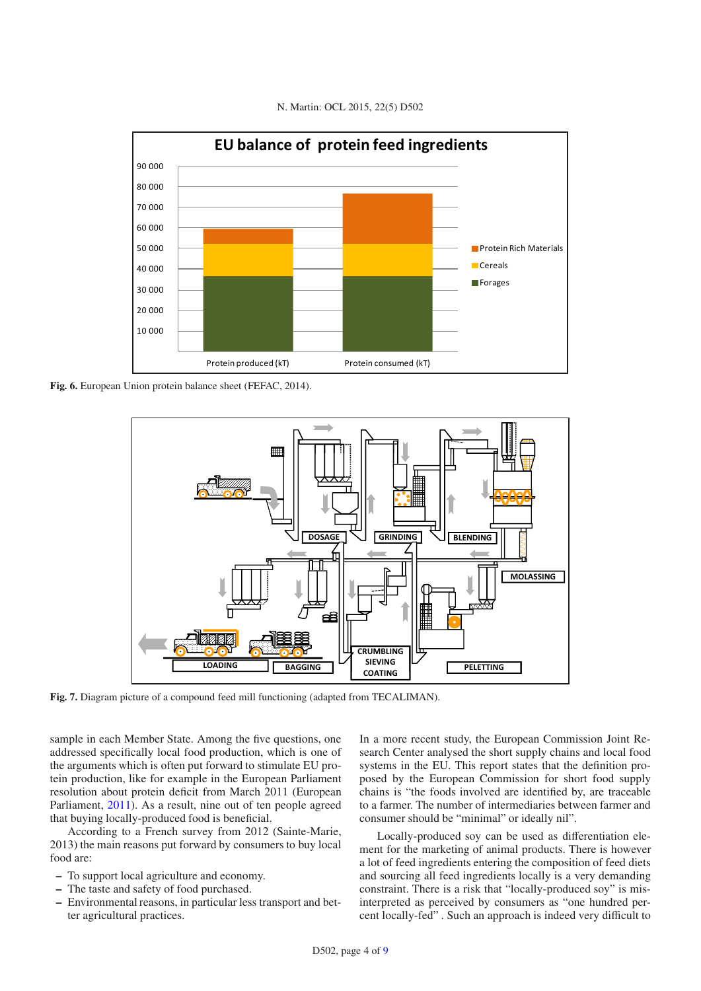<span id="page-3-0"></span>

N. Martin: OCL 2015, 22(5) D502

<span id="page-3-1"></span>**Fig. 6.** European Union protein balance sheet (FEFAC, 2014).



**Fig. 7.** Diagram picture of a compound feed mill functioning (adapted from TECALIMAN).

sample in each Member State. Among the five questions, one addressed specifically local food production, which is one of the arguments which is often put forward to stimulate EU protein production, like for example in the European Parliament resolution about protein deficit from March 2011 (European Parliament, [2011](#page-8-3)). As a result, nine out of ten people agreed that buying locally-produced food is beneficial.

According to a French survey from 2012 (Sainte-Marie, 2013) the main reasons put forward by consumers to buy local food are:

- **–** To support local agriculture and economy.
- **–** The taste and safety of food purchased.
- **–** Environmental reasons, in particular less transport and better agricultural practices.

In a more recent study, the European Commission Joint Research Center analysed the short supply chains and local food systems in the EU. This report states that the definition proposed by the European Commission for short food supply chains is "the foods involved are identified by, are traceable to a farmer. The number of intermediaries between farmer and consumer should be "minimal" or ideally nil".

Locally-produced soy can be used as differentiation element for the marketing of animal products. There is however a lot of feed ingredients entering the composition of feed diets and sourcing all feed ingredients locally is a very demanding constraint. There is a risk that "locally-produced soy" is misinterpreted as perceived by consumers as "one hundred percent locally-fed" . Such an approach is indeed very difficult to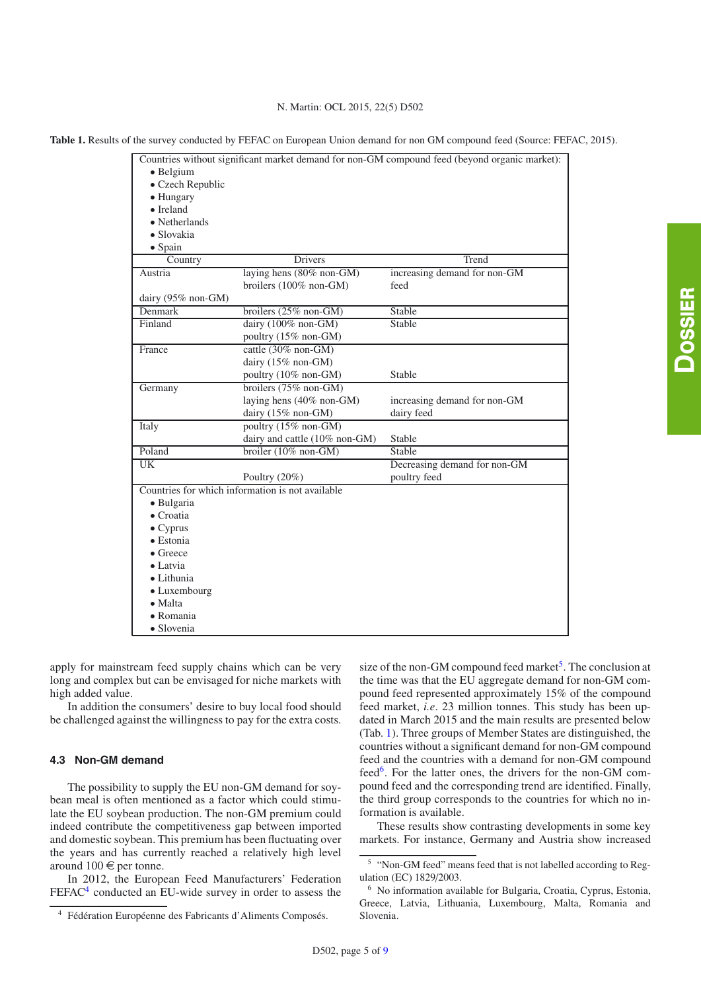N. Martin: OCL 2015, 22(5) D502

<span id="page-4-2"></span>**Table 1.** Results of the survey conducted by FEFAC on European Union demand for non GM compound feed (Source: FEFAC, 2015).

|                    |                                                  | Countries without significant market demand for non-GM compound feed (beyond organic market): |
|--------------------|--------------------------------------------------|-----------------------------------------------------------------------------------------------|
| · Belgium          |                                                  |                                                                                               |
| • Czech Republic   |                                                  |                                                                                               |
| • Hungary          |                                                  |                                                                                               |
| $\bullet$ Ireland  |                                                  |                                                                                               |
| • Netherlands      |                                                  |                                                                                               |
| $\bullet$ Slovakia |                                                  |                                                                                               |
| $\bullet$ Spain    |                                                  |                                                                                               |
| Country            | <b>Drivers</b>                                   | Trend                                                                                         |
| Austria            | laying hens (80% non-GM)                         | increasing demand for non-GM                                                                  |
|                    | broilers (100% non-GM)                           | feed                                                                                          |
| dairy (95% non-GM) |                                                  |                                                                                               |
| Denmark            | broilers (25% non-GM)                            | Stable                                                                                        |
| Finland            | dairy $(100\% \text{ non-GM})$                   | <b>Stable</b>                                                                                 |
|                    | poultry (15% non-GM)                             |                                                                                               |
| France             | cattle (30% non-GM)                              |                                                                                               |
|                    | dairy (15% non-GM)                               |                                                                                               |
|                    | poultry (10% non-GM)                             | Stable                                                                                        |
| Germany            | broilers $(75\% \text{ non-GM})$                 |                                                                                               |
|                    | laying hens (40% non-GM)                         | increasing demand for non-GM                                                                  |
|                    | dairy (15% non-GM)                               | dairy feed                                                                                    |
| Italy              | poultry (15% non-GM)                             |                                                                                               |
|                    | dairy and cattle (10% non-GM)                    | Stable                                                                                        |
| Poland             | broiler $(10\% \text{ non-GM})$                  | Stable                                                                                        |
| $\overline{UK}$    |                                                  | Decreasing demand for non-GM                                                                  |
|                    | Poultry $(20\%)$                                 | poultry feed                                                                                  |
|                    | Countries for which information is not available |                                                                                               |
| · Bulgaria         |                                                  |                                                                                               |
| $\bullet$ Croatia  |                                                  |                                                                                               |
| $\bullet$ Cyprus   |                                                  |                                                                                               |
| $\bullet$ Estonia  |                                                  |                                                                                               |
| $\bullet$ Greece   |                                                  |                                                                                               |
| $\bullet$ Latvia   |                                                  |                                                                                               |
| $\bullet$ Lithunia |                                                  |                                                                                               |
| • Luxembourg       |                                                  |                                                                                               |
| $\bullet$ Malta    |                                                  |                                                                                               |
| $\bullet$ Romania  |                                                  |                                                                                               |
| · Slovenia         |                                                  |                                                                                               |

apply for mainstream feed supply chains which can be very long and complex but can be envisaged for niche markets with high added value.

In addition the consumers' desire to buy local food should be challenged against the willingness to pay for the extra costs.

#### <span id="page-4-0"></span>**4.3 Non-GM demand**

The possibility to supply the EU non-GM demand for soybean meal is often mentioned as a factor which could stimulate the EU soybean production. The non-GM premium could indeed contribute the competitiveness gap between imported and domestic soybean. This premium has been fluctuating over the years and has currently reached a relatively high level around  $100 \in$  per tonne.

In 2012, the European Feed Manufacturers' Federation FEFAC<sup>4</sup> conducted an EU-wide survey in order to assess the <span id="page-4-3"></span><span id="page-4-1"></span>size of the non-GM compound feed market<sup>[5](#page-4-1)</sup>. The conclusion at the time was that the EU aggregate demand for non-GM compound feed represented approximately 15% of the compound feed market, *i.e*. 23 million tonnes. This study has been updated in March 2015 and the main results are presented below (Tab. [1\)](#page-4-2). Three groups of Member States are distinguished, the countries without a significant demand for non-GM compound feed and the countries with a demand for non-GM compound feed<sup>6</sup>. For the latter ones, the drivers for the non-GM compound feed and the corresponding trend are identified. Finally, the third group corresponds to the countries for which no information is available.

These results show contrasting developments in some key markets. For instance, Germany and Austria show increased

<sup>4</sup> Fédération Européenne des Fabricants d'Aliments Composés.

<sup>5</sup> "Non-GM feed" means feed that is not labelled according to Regulation (EC) 1829/2003.

<sup>6</sup> No information available for Bulgaria, Croatia, Cyprus, Estonia, Greece, Latvia, Lithuania, Luxembourg, Malta, Romania and Slovenia.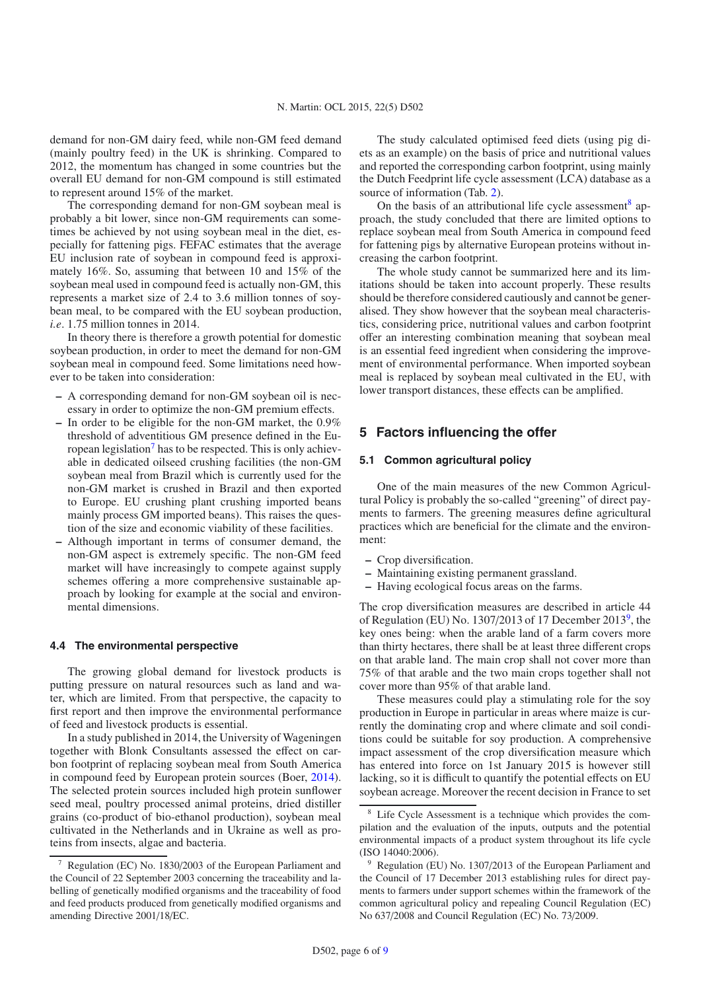demand for non-GM dairy feed, while non-GM feed demand (mainly poultry feed) in the UK is shrinking. Compared to 2012, the momentum has changed in some countries but the overall EU demand for non-GM compound is still estimated to represent around 15% of the market.

The corresponding demand for non-GM soybean meal is probably a bit lower, since non-GM requirements can sometimes be achieved by not using soybean meal in the diet, especially for fattening pigs. FEFAC estimates that the average EU inclusion rate of soybean in compound feed is approximately 16%. So, assuming that between 10 and 15% of the soybean meal used in compound feed is actually non-GM, this represents a market size of 2.4 to 3.6 million tonnes of soybean meal, to be compared with the EU soybean production, *i.e*. 1.75 million tonnes in 2014.

In theory there is therefore a growth potential for domestic soybean production, in order to meet the demand for non-GM soybean meal in compound feed. Some limitations need however to be taken into consideration:

- **–** A corresponding demand for non-GM soybean oil is necessary in order to optimize the non-GM premium effects.
- **–** In order to be eligible for the non-GM market, the 0.9% threshold of adventitious GM presence defined in the Eu-ropean legislation<sup>[7](#page-5-0)</sup> has to be respected. This is only achievable in dedicated oilseed crushing facilities (the non-GM soybean meal from Brazil which is currently used for the non-GM market is crushed in Brazil and then exported to Europe. EU crushing plant crushing imported beans mainly process GM imported beans). This raises the question of the size and economic viability of these facilities.
- **–** Although important in terms of consumer demand, the non-GM aspect is extremely specific. The non-GM feed market will have increasingly to compete against supply schemes offering a more comprehensive sustainable approach by looking for example at the social and environmental dimensions.

#### **4.4 The environmental perspective**

<span id="page-5-0"></span>The growing global demand for livestock products is putting pressure on natural resources such as land and water, which are limited. From that perspective, the capacity to first report and then improve the environmental performance of feed and livestock products is essential.

In a study published in 2014, the University of Wageningen together with Blonk Consultants assessed the effect on carbon footprint of replacing soybean meal from South America in compound feed by European protein sources (Boer, [2014](#page-8-4)). The selected protein sources included high protein sunflower seed meal, poultry processed animal proteins, dried distiller grains (co-product of bio-ethanol production), soybean meal cultivated in the Netherlands and in Ukraine as well as proteins from insects, algae and bacteria.

The study calculated optimised feed diets (using pig diets as an example) on the basis of price and nutritional values and reported the corresponding carbon footprint, using mainly the Dutch Feedprint life cycle assessment (LCA) database as a source of information (Tab. [2\)](#page-6-0).

On the basis of an attributional life cycle assessment<sup>8</sup> approach, the study concluded that there are limited options to replace soybean meal from South America in compound feed for fattening pigs by alternative European proteins without increasing the carbon footprint.

The whole study cannot be summarized here and its limitations should be taken into account properly. These results should be therefore considered cautiously and cannot be generalised. They show however that the soybean meal characteristics, considering price, nutritional values and carbon footprint offer an interesting combination meaning that soybean meal is an essential feed ingredient when considering the improvement of environmental performance. When imported soybean meal is replaced by soybean meal cultivated in the EU, with lower transport distances, these effects can be amplified.

# **5 Factors influencing the offer**

## **5.1 Common agricultural policy**

One of the main measures of the new Common Agricultural Policy is probably the so-called "greening" of direct payments to farmers. The greening measures define agricultural practices which are beneficial for the climate and the environment:

- **–** Crop diversification.
- **–** Maintaining existing permanent grassland.
- **–** Having ecological focus areas on the farms.

<span id="page-5-1"></span>The crop diversification measures are described in article 44 of Regulation (EU) No. 1307/2013 of 17 December 2013<sup>9</sup>, the key ones being: when the arable land of a farm covers more than thirty hectares, there shall be at least three different crops on that arable land. The main crop shall not cover more than 75% of that arable and the two main crops together shall not cover more than 95% of that arable land.

<span id="page-5-2"></span>These measures could play a stimulating role for the soy production in Europe in particular in areas where maize is currently the dominating crop and where climate and soil conditions could be suitable for soy production. A comprehensive impact assessment of the crop diversification measure which has entered into force on 1st January 2015 is however still lacking, so it is difficult to quantify the potential effects on EU soybean acreage. Moreover the recent decision in France to set

<sup>7</sup> Regulation (EC) No. 1830/2003 of the European Parliament and the Council of 22 September 2003 concerning the traceability and labelling of genetically modified organisms and the traceability of food and feed products produced from genetically modified organisms and amending Directive 2001/18/EC.

<sup>8</sup> Life Cycle Assessment is a technique which provides the compilation and the evaluation of the inputs, outputs and the potential environmental impacts of a product system throughout its life cycle (ISO 14040:2006).

Regulation (EU) No. 1307/2013 of the European Parliament and the Council of 17 December 2013 establishing rules for direct payments to farmers under support schemes within the framework of the common agricultural policy and repealing Council Regulation (EC) No 637/2008 and Council Regulation (EC) No. 73/2009.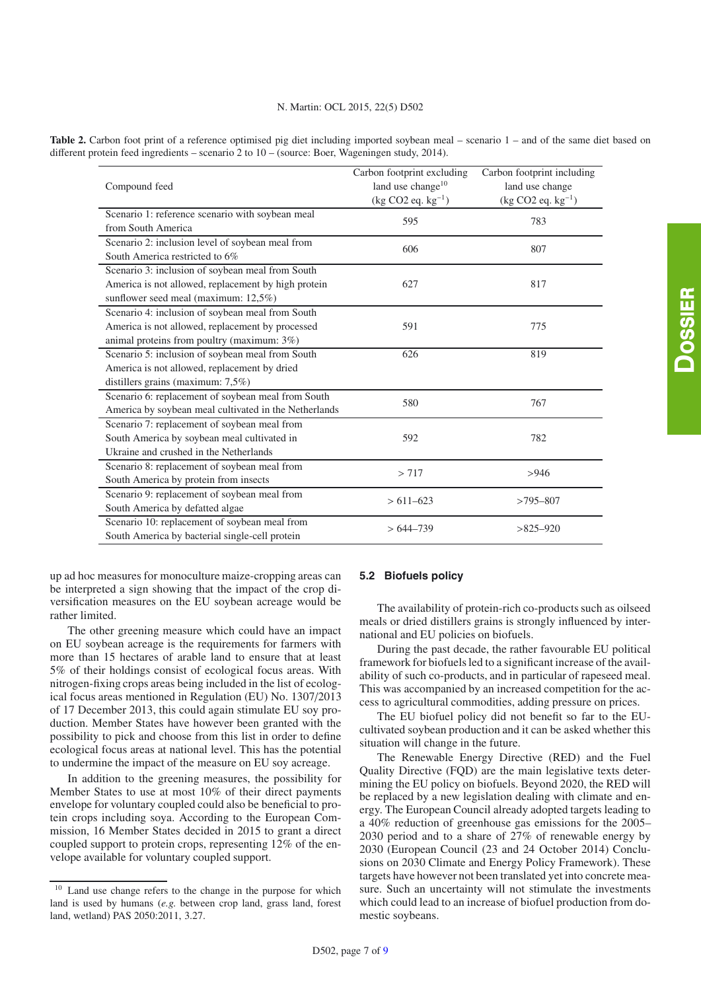<span id="page-6-0"></span>

|  |  |  | Table 2. Carbon foot print of a reference optimised pig diet including imported soybean meal – scenario 1 – and of the same diet based on |  |  |  |  |  |
|--|--|--|-------------------------------------------------------------------------------------------------------------------------------------------|--|--|--|--|--|
|  |  |  | different protein feed ingredients – scenario 2 to $10$ – (source: Boer, Wageningen study, 2014).                                         |  |  |  |  |  |

| Compound feed                                         | Carbon footprint excluding<br>land use change <sup>10</sup><br>$(kg CO2 eq. kg-1)$ | Carbon footprint including<br>land use change<br>$(kg CO2 eq. kg-1)$ |  |  |
|-------------------------------------------------------|------------------------------------------------------------------------------------|----------------------------------------------------------------------|--|--|
| Scenario 1: reference scenario with soybean meal      | 595                                                                                | 783                                                                  |  |  |
| from South America                                    |                                                                                    |                                                                      |  |  |
| Scenario 2: inclusion level of soybean meal from      | 606                                                                                | 807                                                                  |  |  |
| South America restricted to 6%                        |                                                                                    |                                                                      |  |  |
| Scenario 3: inclusion of soybean meal from South      |                                                                                    |                                                                      |  |  |
| America is not allowed, replacement by high protein   | 627                                                                                | 817                                                                  |  |  |
| sunflower seed meal (maximum: 12,5%)                  |                                                                                    |                                                                      |  |  |
| Scenario 4: inclusion of soybean meal from South      |                                                                                    |                                                                      |  |  |
| America is not allowed, replacement by processed      | 591                                                                                | 775                                                                  |  |  |
| animal proteins from poultry (maximum: 3%)            |                                                                                    |                                                                      |  |  |
| Scenario 5: inclusion of soybean meal from South      | 626                                                                                | 819                                                                  |  |  |
| America is not allowed, replacement by dried          |                                                                                    |                                                                      |  |  |
| distillers grains (maximum: $7,5\%$ )                 |                                                                                    |                                                                      |  |  |
| Scenario 6: replacement of soybean meal from South    | 580                                                                                | 767                                                                  |  |  |
| America by soybean meal cultivated in the Netherlands |                                                                                    |                                                                      |  |  |
| Scenario 7: replacement of soybean meal from          |                                                                                    |                                                                      |  |  |
| South America by soybean meal cultivated in           | 592                                                                                | 782                                                                  |  |  |
| Ukraine and crushed in the Netherlands                |                                                                                    |                                                                      |  |  |
| Scenario 8: replacement of soybean meal from          | > 717                                                                              | >946                                                                 |  |  |
| South America by protein from insects                 |                                                                                    |                                                                      |  |  |
| Scenario 9: replacement of soybean meal from          | $> 611 - 623$                                                                      |                                                                      |  |  |
| South America by defatted algae                       |                                                                                    | $>795 - 807$                                                         |  |  |
| Scenario 10: replacement of soybean meal from         | $>644-739$                                                                         | $>825-920$                                                           |  |  |
| South America by bacterial single-cell protein        |                                                                                    |                                                                      |  |  |

up ad hoc measures for monoculture maize-cropping areas can be interpreted a sign showing that the impact of the crop diversification measures on the EU soybean acreage would be rather limited.

The other greening measure which could have an impact on EU soybean acreage is the requirements for farmers with more than 15 hectares of arable land to ensure that at least 5% of their holdings consist of ecological focus areas. With nitrogen-fixing crops areas being included in the list of ecological focus areas mentioned in Regulation (EU) No. 1307/2013 of 17 December 2013, this could again stimulate EU soy production. Member States have however been granted with the possibility to pick and choose from this list in order to define ecological focus areas at national level. This has the potential to undermine the impact of the measure on EU soy acreage.

In addition to the greening measures, the possibility for Member States to use at most 10% of their direct payments envelope for voluntary coupled could also be beneficial to protein crops including soya. According to the European Commission, 16 Member States decided in 2015 to grant a direct coupled support to protein crops, representing 12% of the envelope available for voluntary coupled support.

## **5.2 Biofuels policy**

The availability of protein-rich co-products such as oilseed meals or dried distillers grains is strongly influenced by international and EU policies on biofuels.

During the past decade, the rather favourable EU political framework for biofuels led to a significant increase of the availability of such co-products, and in particular of rapeseed meal. This was accompanied by an increased competition for the access to agricultural commodities, adding pressure on prices.

The EU biofuel policy did not benefit so far to the EUcultivated soybean production and it can be asked whether this situation will change in the future.

The Renewable Energy Directive (RED) and the Fuel Quality Directive (FQD) are the main legislative texts determining the EU policy on biofuels. Beyond 2020, the RED will be replaced by a new legislation dealing with climate and energy. The European Council already adopted targets leading to a 40% reduction of greenhouse gas emissions for the 2005– 2030 period and to a share of 27% of renewable energy by 2030 (European Council (23 and 24 October 2014) Conclusions on 2030 Climate and Energy Policy Framework). These targets have however not been translated yet into concrete measure. Such an uncertainty will not stimulate the investments which could lead to an increase of biofuel production from domestic soybeans.

<sup>10</sup> Land use change refers to the change in the purpose for which land is used by humans (*e.g.* between crop land, grass land, forest land, wetland) PAS 2050:2011, 3.27.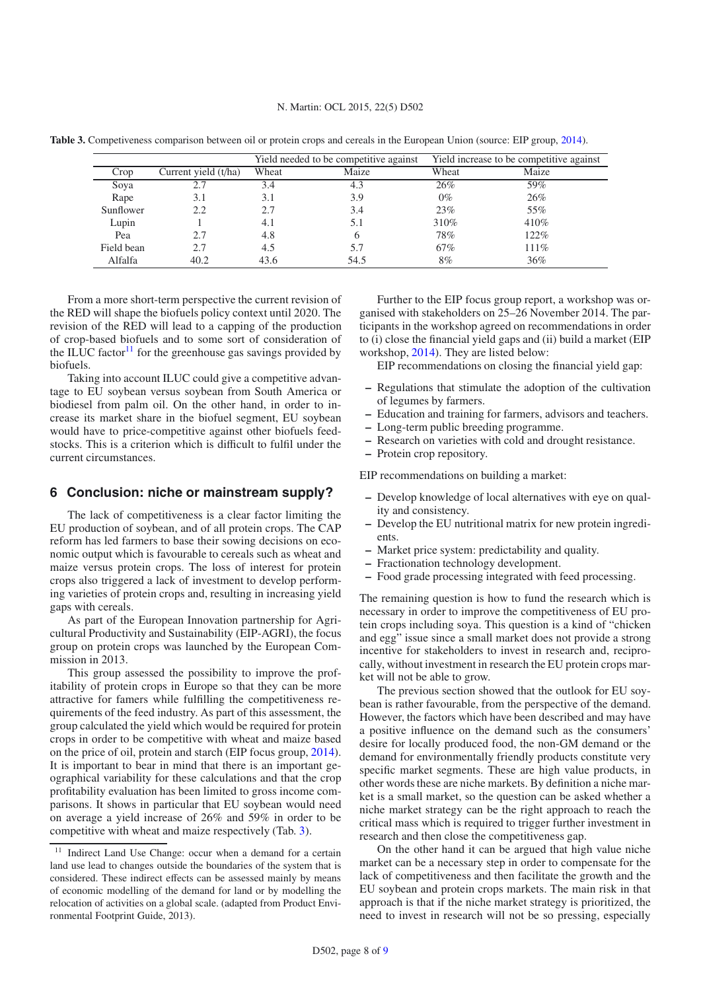<span id="page-7-1"></span>**Table 3.** Competiveness comparison between oil or protein crops and cereals in the European Union (source: EIP group, [2014](#page-8-5)).

|            |                      |       | Yield needed to be competitive against | Yield increase to be competitive against |       |  |  |
|------------|----------------------|-------|----------------------------------------|------------------------------------------|-------|--|--|
| Crop       | Current yield (t/ha) | Wheat | Maize                                  | Wheat                                    | Maize |  |  |
| Soya       |                      | 3.4   | 4.3                                    | 26%                                      | 59%   |  |  |
| Rape       | 3.1                  | 3.1   | 3.9                                    | $0\%$                                    | 26%   |  |  |
| Sunflower  | 2.2                  | 2.7   | 3.4                                    | 23%                                      | 55%   |  |  |
| Lupin      |                      | 4.1   | 5.1                                    | 310\%                                    | 410\% |  |  |
| Pea        | 2.7                  | 4.8   | <sub>b</sub>                           | 78%                                      | 122%  |  |  |
| Field bean | 2.7                  | 4.5   | 5.7                                    | 67%                                      | 111%  |  |  |
| Alfalfa    | 40.2                 | 43.6  | 54.5                                   | 8%                                       | 36%   |  |  |

From a more short-term perspective the current revision of the RED will shape the biofuels policy context until 2020. The revision of the RED will lead to a capping of the production of crop-based biofuels and to some sort of consideration of the ILUC factor $11$  for the greenhouse gas savings provided by biofuels.

Taking into account ILUC could give a competitive advantage to EU soybean versus soybean from South America or biodiesel from palm oil. On the other hand, in order to increase its market share in the biofuel segment, EU soybean would have to price-competitive against other biofuels feedstocks. This is a criterion which is difficult to fulfil under the current circumstances.

### **6 Conclusion: niche or mainstream supply?**

The lack of competitiveness is a clear factor limiting the EU production of soybean, and of all protein crops. The CAP reform has led farmers to base their sowing decisions on economic output which is favourable to cereals such as wheat and maize versus protein crops. The loss of interest for protein crops also triggered a lack of investment to develop performing varieties of protein crops and, resulting in increasing yield gaps with cereals.

As part of the European Innovation partnership for Agricultural Productivity and Sustainability (EIP-AGRI), the focus group on protein crops was launched by the European Commission in 2013.

<span id="page-7-0"></span>This group assessed the possibility to improve the profitability of protein crops in Europe so that they can be more attractive for famers while fulfilling the competitiveness requirements of the feed industry. As part of this assessment, the group calculated the yield which would be required for protein crops in order to be competitive with wheat and maize based on the price of oil, protein and starch (EIP focus group, [2014](#page-8-5)). It is important to bear in mind that there is an important geographical variability for these calculations and that the crop profitability evaluation has been limited to gross income comparisons. It shows in particular that EU soybean would need on average a yield increase of 26% and 59% in order to be competitive with wheat and maize respectively (Tab. [3\)](#page-7-1).

Further to the EIP focus group report, a workshop was organised with stakeholders on 25–26 November 2014. The participants in the workshop agreed on recommendations in order to (i) close the financial yield gaps and (ii) build a market (EIP workshop, [2014\)](#page-8-5). They are listed below:

EIP recommendations on closing the financial yield gap:

- **–** Regulations that stimulate the adoption of the cultivation of legumes by farmers.
- **–** Education and training for farmers, advisors and teachers.
- **–** Long-term public breeding programme.
- **–** Research on varieties with cold and drought resistance.
- **–** Protein crop repository.

EIP recommendations on building a market:

- **–** Develop knowledge of local alternatives with eye on quality and consistency.
- **–** Develop the EU nutritional matrix for new protein ingredients.
- **–** Market price system: predictability and quality.
- **–** Fractionation technology development.
- **–** Food grade processing integrated with feed processing.

The remaining question is how to fund the research which is necessary in order to improve the competitiveness of EU protein crops including soya. This question is a kind of "chicken and egg" issue since a small market does not provide a strong incentive for stakeholders to invest in research and, reciprocally, without investment in research the EU protein crops market will not be able to grow.

The previous section showed that the outlook for EU soybean is rather favourable, from the perspective of the demand. However, the factors which have been described and may have a positive influence on the demand such as the consumers' desire for locally produced food, the non-GM demand or the demand for environmentally friendly products constitute very specific market segments. These are high value products, in other words these are niche markets. By definition a niche market is a small market, so the question can be asked whether a niche market strategy can be the right approach to reach the critical mass which is required to trigger further investment in research and then close the competitiveness gap.

On the other hand it can be argued that high value niche market can be a necessary step in order to compensate for the lack of competitiveness and then facilitate the growth and the EU soybean and protein crops markets. The main risk in that approach is that if the niche market strategy is prioritized, the need to invest in research will not be so pressing, especially

<sup>11</sup> Indirect Land Use Change: occur when a demand for a certain land use lead to changes outside the boundaries of the system that is considered. These indirect effects can be assessed mainly by means of economic modelling of the demand for land or by modelling the relocation of activities on a global scale. (adapted from Product Environmental Footprint Guide, 2013).